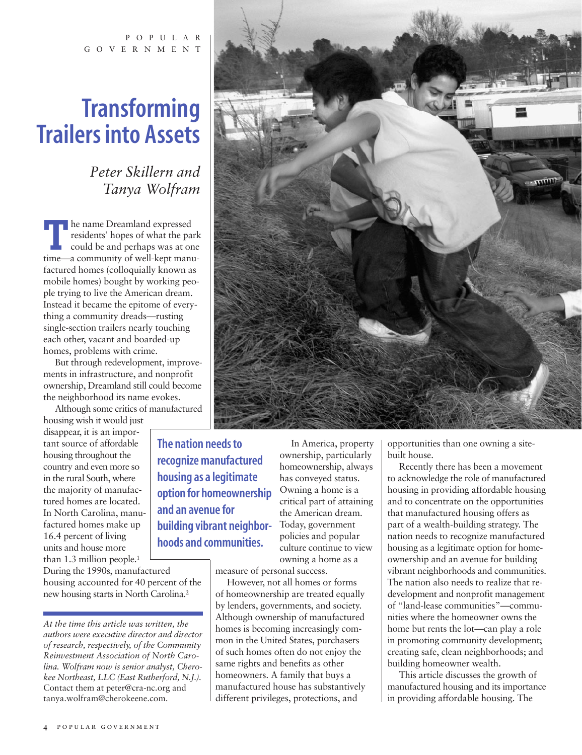POPULAR GOVERNMENT

# **Transforming Trailers into Assets**

*Peter Skillern and Tanya Wolfram*

**T**he name Dreamland expressed<br>residents' hopes of what the park<br>could be and perhaps was at one<br>time—a community of well-kent manuresidents' hopes of what the park time—a community of well-kept manufactured homes (colloquially known as mobile homes) bought by working people trying to live the American dream. Instead it became the epitome of everything a community dreads—rusting single-section trailers nearly touching each other, vacant and boarded-up homes, problems with crime.

But through redevelopment, improvements in infrastructure, and nonprofit ownership, Dreamland still could become the neighborhood its name evokes.

Although some critics of manufactured

housing wish it would just disappear, it is an important source of affordable housing throughout the country and even more so in the rural South, where the majority of manufactured homes are located. In North Carolina, manufactured homes make up 16.4 percent of living units and house more than 1.3 million people.<sup>1</sup>

During the 1990s, manufactured housing accounted for 40 percent of the new housing starts in North Carolina.2

**The nation needs to recognize manufactured housing as a legitimate option for homeownership and an avenue for building vibrant neighborhoods and communities.**

In America, property ownership, particularly homeownership, always has conveyed status. Owning a home is a critical part of attaining the American dream. Today, government policies and popular culture continue to view owning a home as a

measure of personal success.

However, not all homes or forms of homeownership are treated equally by lenders, governments, and society. Although ownership of manufactured homes is becoming increasingly common in the United States, purchasers of such homes often do not enjoy the same rights and benefits as other homeowners. A family that buys a manufactured house has substantively different privileges, protections, and



Recently there has been a movement to acknowledge the role of manufactured housing in providing affordable housing and to concentrate on the opportunities that manufactured housing offers as part of a wealth-building strategy. The nation needs to recognize manufactured housing as a legitimate option for homeownership and an avenue for building vibrant neighborhoods and communities. The nation also needs to realize that redevelopment and nonprofit management of "land-lease communities"—communities where the homeowner owns the home but rents the lot—can play a role in promoting community development; creating safe, clean neighborhoods; and building homeowner wealth.

This article discusses the growth of manufactured housing and its importance in providing affordable housing. The



*At the time this article was written, the authors were executive director and director of research, respectively, of the Community Reinvestment Association of North Carolina. Wolfram now is senior analyst, Cherokee Northeast, LLC (East Rutherford, N.J.).* Contact them at peter@cra-nc.org and tanya.wolfram@cherokeene.com.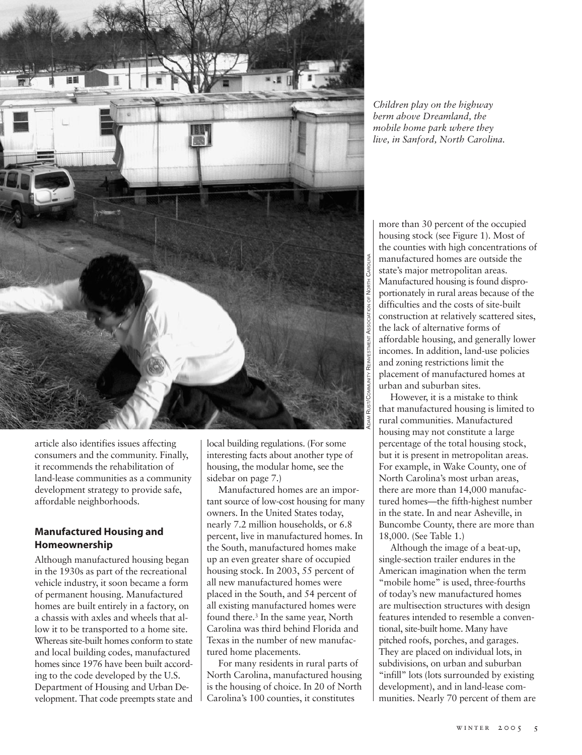

article also identifies issues affecting consumers and the community. Finally, it recommends the rehabilitation of land-lease communities as a community development strategy to provide safe, affordable neighborhoods.

### **Manufactured Housing and Homeownership**

Although manufactured housing began in the 1930s as part of the recreational vehicle industry, it soon became a form of permanent housing. Manufactured homes are built entirely in a factory, on a chassis with axles and wheels that allow it to be transported to a home site. Whereas site-built homes conform to state and local building codes, manufactured homes since 1976 have been built according to the code developed by the U.S. Department of Housing and Urban Development. That code preempts state and local building regulations. (For some interesting facts about another type of housing, the modular home, see the sidebar on page 7.)

Manufactured homes are an important source of low-cost housing for many owners. In the United States today, nearly 7.2 million households, or 6.8 percent, live in manufactured homes. In the South, manufactured homes make up an even greater share of occupied housing stock. In 2003, 55 percent of all new manufactured homes were placed in the South, and 54 percent of all existing manufactured homes were found there.3 In the same year, North Carolina was third behind Florida and Texas in the number of new manufactured home placements.

For many residents in rural parts of North Carolina, manufactured housing is the housing of choice. In 20 of North Carolina's 100 counties, it constitutes

*Children play on the highway berm above Dreamland, the mobile home park where they live, in Sanford, North Carolina.*

more than 30 percent of the occupied housing stock (see Figure 1). Most of the counties with high concentrations of manufactured homes are outside the state's major metropolitan areas. Manufactured housing is found disproportionately in rural areas because of the difficulties and the costs of site-built construction at relatively scattered sites, the lack of alternative forms of affordable housing, and generally lower incomes. In addition, land-use policies and zoning restrictions limit the placement of manufactured homes at urban and suburban sites.

However, it is a mistake to think that manufactured housing is limited to rural communities. Manufactured housing may not constitute a large percentage of the total housing stock, but it is present in metropolitan areas. For example, in Wake County, one of North Carolina's most urban areas, there are more than 14,000 manufactured homes—the fifth-highest number in the state. In and near Asheville, in Buncombe County, there are more than 18,000. (See Table 1.)

Although the image of a beat-up, single-section trailer endures in the American imagination when the term "mobile home" is used, three-fourths of today's new manufactured homes are multisection structures with design features intended to resemble a conventional, site-built home. Many have pitched roofs, porches, and garages. They are placed on individual lots, in subdivisions, on urban and suburban "infill" lots (lots surrounded by existing development), and in land-lease communities. Nearly 70 percent of them are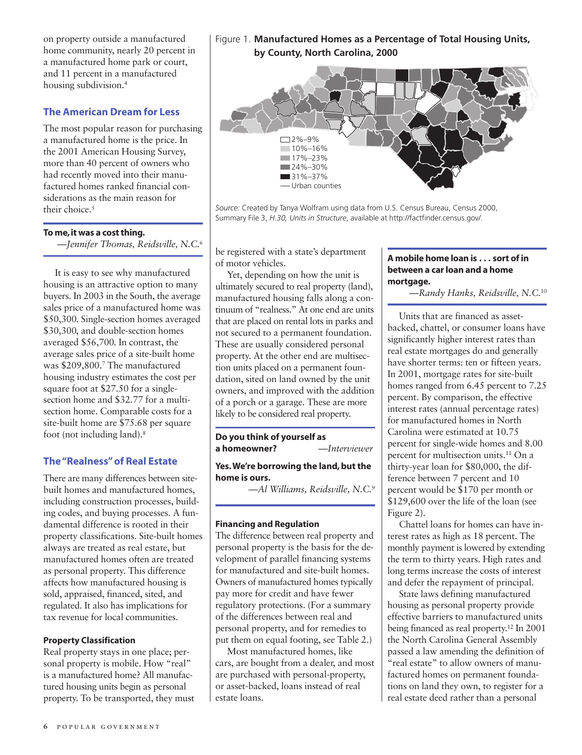on property outside a manufactured home community, nearly 20 percent in a manufactured home park or court, and 11 percent in a manufactured housing subdivision.4

# **The American Dream for Less**

The most popular reason for purchasing a manufactured home is the price. In the 2001 American Housing Survey, more than 40 percent of owners who had recently moved into their manufactured homes ranked financial considerations as the main reason for their choice.<sup>5</sup>

### **To me, it was a cost thing.**

*—Jennifer Thomas, Reidsville, N.C.*<sup>6</sup>

It is easy to see why manufactured housing is an attractive option to many buyers. In 2003 in the South, the average sales price of a manufactured home was \$50,300. Single-section homes averaged \$30,300, and double-section homes averaged \$56,700. In contrast, the average sales price of a site-built home was \$209,800.7 The manufactured housing industry estimates the cost per square foot at \$27.50 for a singlesection home and \$32.77 for a multisection home. Comparable costs for a site-built home are \$75.68 per square foot (not including land).8

### **The "Realness" of Real Estate**

There are many differences between sitebuilt homes and manufactured homes, including construction processes, building codes, and buying processes. A fundamental difference is rooted in their property classifications. Site-built homes always are treated as real estate, but manufactured homes often are treated as personal property. This difference affects how manufactured housing is sold, appraised, financed, sited, and regulated. It also has implications for tax revenue for local communities.

### **Property Classification**

Real property stays in one place; personal property is mobile. How "real" is a manufactured home? All manufactured housing units begin as personal property. To be transported, they must

# Figure 1. **Manufactured Homes as a Percentage of Total Housing Units, by County, North Carolina, 2000**



*Source:* Created by Tanya Wolfram using data from U.S. Census Bureau, Census 2000, Summary File 3, *H.30, Units in Structure*, available at http://factfinder.census.gov/.

be registered with a state's department of motor vehicles.

Yet, depending on how the unit is ultimately secured to real property (land), manufactured housing falls along a continuum of "realness." At one end are units that are placed on rental lots in parks and not secured to a permanent foundation. These are usually considered personal property. At the other end are multisection units placed on a permanent foundation, sited on land owned by the unit owners, and improved with the addition of a porch or a garage. These are more likely to be considered real property.

**Do you think of yourself as a homeowner?** *—Interviewer*

**Yes.We're borrowing the land, but the home is ours.**

*—Al Williams, Reidsville, N.C.*<sup>9</sup>

### **Financing and Regulation**

The difference between real property and personal property is the basis for the development of parallel financing systems for manufactured and site-built homes. Owners of manufactured homes typically pay more for credit and have fewer regulatory protections. (For a summary of the differences between real and personal property, and for remedies to put them on equal footing, see Table 2.)

Most manufactured homes, like cars, are bought from a dealer, and most are purchased with personal-property, or asset-backed, loans instead of real estate loans.

### **A mobile home loan is . . . sort of in between a car loan and a home mortgage.**

*—Randy Hanks, Reidsville, N.C.*<sup>10</sup>

Units that are financed as assetbacked, chattel, or consumer loans have significantly higher interest rates than real estate mortgages do and generally have shorter terms: ten or fifteen years. In 2001, mortgage rates for site-built homes ranged from 6.45 percent to 7.25 percent. By comparison, the effective interest rates (annual percentage rates) for manufactured homes in North Carolina were estimated at 10.75 percent for single-wide homes and 8.00 percent for multisection units.11 On a thirty-year loan for \$80,000, the difference between 7 percent and 10 percent would be \$170 per month or \$129,600 over the life of the loan (see Figure 2).

Chattel loans for homes can have interest rates as high as 18 percent. The monthly payment is lowered by extending the term to thirty years. High rates and long terms increase the costs of interest and defer the repayment of principal.

State laws defining manufactured housing as personal property provide effective barriers to manufactured units being financed as real property.12 In 2001 the North Carolina General Assembly passed a law amending the definition of "real estate" to allow owners of manufactured homes on permanent foundations on land they own, to register for a real estate deed rather than a personal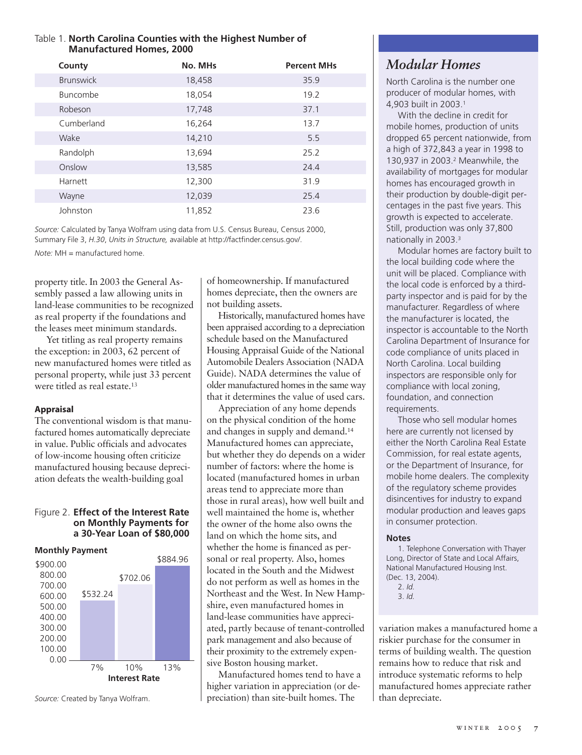## Table 1. **North Carolina Counties with the Highest Number of Manufactured Homes, 2000**

| County           | No. MHs | <b>Percent MHs</b> |
|------------------|---------|--------------------|
| <b>Brunswick</b> | 18,458  | 35.9               |
| <b>Buncombe</b>  | 18,054  | 19.2               |
| Robeson          | 17,748  | 37.1               |
| Cumberland       | 16,264  | 13.7               |
| Wake             | 14,210  | 5.5                |
| Randolph         | 13,694  | 25.2               |
| Onslow           | 13,585  | 24.4               |
| Harnett          | 12,300  | 31.9               |
| Wayne            | 12,039  | 25.4               |
| Johnston         | 11,852  | 23.6               |

*Source:* Calculated by Tanya Wolfram using data from U.S. Census Bureau, Census 2000, Summary File 3, *H.30*, *Units in Structure,* available at http://factfinder.census.gov/.

*Note:* MH = manufactured home.

property title. In 2003 the General Assembly passed a law allowing units in land-lease communities to be recognized as real property if the foundations and the leases meet minimum standards.

Yet titling as real property remains the exception: in 2003, 62 percent of new manufactured homes were titled as personal property, while just 33 percent were titled as real estate.<sup>13</sup>

### **Appraisal**

The conventional wisdom is that manufactured homes automatically depreciate in value. Public officials and advocates of low-income housing often criticize manufactured housing because depreciation defeats the wealth-building goal

### Figure 2. **Effect of the Interest Rate on Monthly Payments for a 30-Year Loan of \$80,000**

### **Monthly Payment**



*Source:* Created by Tanya Wolfram.

of homeownership. If manufactured homes depreciate, then the owners are not building assets.

Historically, manufactured homes have been appraised according to a depreciation schedule based on the Manufactured Housing Appraisal Guide of the National Automobile Dealers Association (NADA Guide). NADA determines the value of older manufactured homes in the same way that it determines the value of used cars.

Appreciation of any home depends on the physical condition of the home and changes in supply and demand.14 Manufactured homes can appreciate, but whether they do depends on a wider number of factors: where the home is located (manufactured homes in urban areas tend to appreciate more than those in rural areas), how well built and well maintained the home is, whether the owner of the home also owns the land on which the home sits, and whether the home is financed as personal or real property. Also, homes located in the South and the Midwest do not perform as well as homes in the Northeast and the West. In New Hampshire, even manufactured homes in land-lease communities have appreciated, partly because of tenant-controlled park management and also because of their proximity to the extremely expensive Boston housing market.

Manufactured homes tend to have a higher variation in appreciation (or depreciation) than site-built homes. The

# *Modular Homes*

North Carolina is the number one producer of modular homes, with 4,903 built in 2003.1

With the decline in credit for mobile homes, production of units dropped 65 percent nationwide, from a high of 372,843 a year in 1998 to 130,937 in 2003.2 Meanwhile, the availability of mortgages for modular homes has encouraged growth in their production by double-digit percentages in the past five years. This growth is expected to accelerate. Still, production was only 37,800 nationally in 2003.3

Modular homes are factory built to the local building code where the unit will be placed. Compliance with the local code is enforced by a thirdparty inspector and is paid for by the manufacturer. Regardless of where the manufacturer is located, the inspector is accountable to the North Carolina Department of Insurance for code compliance of units placed in North Carolina. Local building inspectors are responsible only for compliance with local zoning, foundation, and connection requirements.

Those who sell modular homes here are currently not licensed by either the North Carolina Real Estate Commission, for real estate agents, or the Department of Insurance, for mobile home dealers. The complexity of the regulatory scheme provides disincentives for industry to expand modular production and leaves gaps in consumer protection.

### **Notes**

1. Telephone Conversation with Thayer Long, Director of State and Local Affairs, National Manufactured Housing Inst. (Dec. 13, 2004).

variation makes a manufactured home a riskier purchase for the consumer in terms of building wealth. The question remains how to reduce that risk and introduce systematic reforms to help manufactured homes appreciate rather than depreciate.

<sup>2.</sup> *Id.*

<sup>3.</sup> *Id.*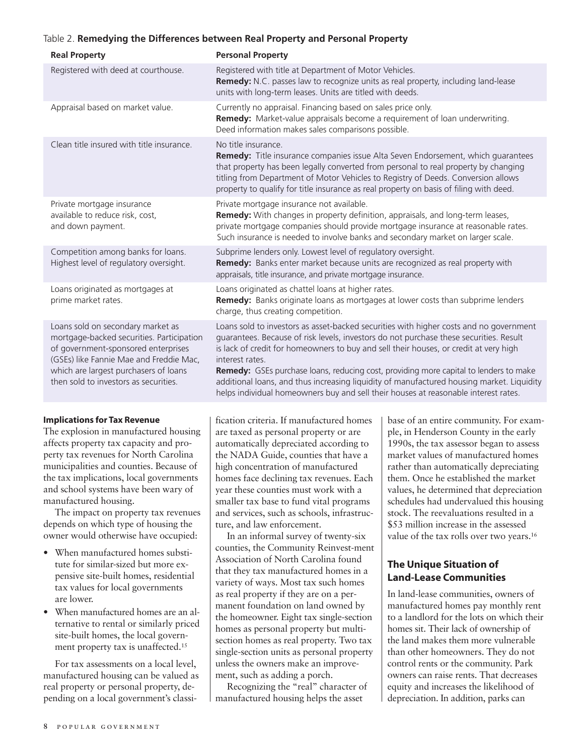### Table 2. **Remedying the Differences between Real Property and Personal Property**

| <b>Real Property</b>                                                                                                                                                                                                                               | <b>Personal Property</b>                                                                                                                                                                                                                                                                                                                                                                                                                                                                                                                                                  |
|----------------------------------------------------------------------------------------------------------------------------------------------------------------------------------------------------------------------------------------------------|---------------------------------------------------------------------------------------------------------------------------------------------------------------------------------------------------------------------------------------------------------------------------------------------------------------------------------------------------------------------------------------------------------------------------------------------------------------------------------------------------------------------------------------------------------------------------|
| Registered with deed at courthouse.                                                                                                                                                                                                                | Registered with title at Department of Motor Vehicles.<br>Remedy: N.C. passes law to recognize units as real property, including land-lease<br>units with long-term leases. Units are titled with deeds.                                                                                                                                                                                                                                                                                                                                                                  |
| Appraisal based on market value.                                                                                                                                                                                                                   | Currently no appraisal. Financing based on sales price only.<br>Remedy: Market-value appraisals become a requirement of loan underwriting.<br>Deed information makes sales comparisons possible.                                                                                                                                                                                                                                                                                                                                                                          |
| Clean title insured with title insurance.                                                                                                                                                                                                          | No title insurance<br>Remedy: Title insurance companies issue Alta Seven Endorsement, which guarantees<br>that property has been legally converted from personal to real property by changing<br>titling from Department of Motor Vehicles to Registry of Deeds. Conversion allows<br>property to qualify for title insurance as real property on basis of filing with deed.                                                                                                                                                                                              |
| Private mortgage insurance<br>available to reduce risk, cost,<br>and down payment.                                                                                                                                                                 | Private mortgage insurance not available.<br>Remedy: With changes in property definition, appraisals, and long-term leases,<br>private mortgage companies should provide mortgage insurance at reasonable rates.<br>Such insurance is needed to involve banks and secondary market on larger scale.                                                                                                                                                                                                                                                                       |
| Competition among banks for loans.<br>Highest level of regulatory oversight.                                                                                                                                                                       | Subprime lenders only. Lowest level of regulatory oversight.<br>Remedy: Banks enter market because units are recognized as real property with<br>appraisals, title insurance, and private mortgage insurance.                                                                                                                                                                                                                                                                                                                                                             |
| Loans originated as mortgages at<br>prime market rates.                                                                                                                                                                                            | Loans originated as chattel loans at higher rates.<br>Remedy: Banks originate loans as mortgages at lower costs than subprime lenders<br>charge, thus creating competition.                                                                                                                                                                                                                                                                                                                                                                                               |
| Loans sold on secondary market as<br>mortgage-backed securities. Participation<br>of government-sponsored enterprises<br>(GSEs) like Fannie Mae and Freddie Mac,<br>which are largest purchasers of loans<br>then sold to investors as securities. | Loans sold to investors as asset-backed securities with higher costs and no government<br>guarantees. Because of risk levels, investors do not purchase these securities. Result<br>is lack of credit for homeowners to buy and sell their houses, or credit at very high<br>interest rates.<br>Remedy: GSEs purchase loans, reducing cost, providing more capital to lenders to make<br>additional loans, and thus increasing liquidity of manufactured housing market. Liquidity<br>helps individual homeowners buy and sell their houses at reasonable interest rates. |

### **Implications for Tax Revenue**

The explosion in manufactured housing affects property tax capacity and property tax revenues for North Carolina municipalities and counties. Because of the tax implications, local governments and school systems have been wary of manufactured housing.

The impact on property tax revenues depends on which type of housing the owner would otherwise have occupied:

- When manufactured homes substitute for similar-sized but more expensive site-built homes, residential tax values for local governments are lower.
- When manufactured homes are an alternative to rental or similarly priced site-built homes, the local government property tax is unaffected.15

For tax assessments on a local level, manufactured housing can be valued as real property or personal property, depending on a local government's classification criteria. If manufactured homes are taxed as personal property or are automatically depreciated according to the NADA Guide, counties that have a high concentration of manufactured homes face declining tax revenues. Each year these counties must work with a smaller tax base to fund vital programs and services, such as schools, infrastructure, and law enforcement.

In an informal survey of twenty-six counties, the Community Reinvest-ment Association of North Carolina found that they tax manufactured homes in a variety of ways. Most tax such homes as real property if they are on a permanent foundation on land owned by the homeowner. Eight tax single-section homes as personal property but multisection homes as real property. Two tax single-section units as personal property unless the owners make an improvement, such as adding a porch.

Recognizing the "real" character of manufactured housing helps the asset

base of an entire community. For example, in Henderson County in the early 1990s, the tax assessor began to assess market values of manufactured homes rather than automatically depreciating them. Once he established the market values, he determined that depreciation schedules had undervalued this housing stock. The reevaluations resulted in a \$53 million increase in the assessed value of the tax rolls over two years.<sup>16</sup>

# **The Unique Situation of Land-Lease Communities**

In land-lease communities, owners of manufactured homes pay monthly rent to a landlord for the lots on which their homes sit. Their lack of ownership of the land makes them more vulnerable than other homeowners. They do not control rents or the community. Park owners can raise rents. That decreases equity and increases the likelihood of depreciation. In addition, parks can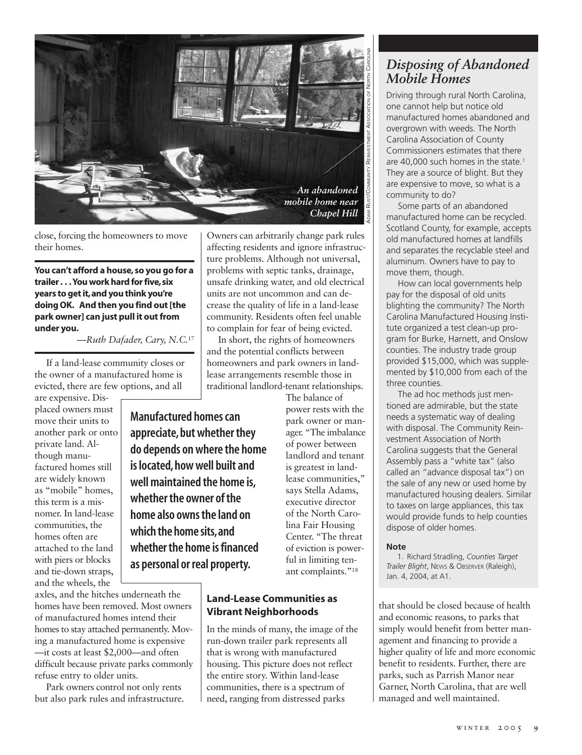

close, forcing the homeowners to move their homes.

### **You can't afford a house, so you go for a trailer . . . You work hard for five,six years to get it,and you think you're doing OK. And then you find out [the park owner] can just pull it out from under you.**

*—Ruth Dafader, Cary, N.C.*<sup>17</sup>

If a land-lease community closes or the owner of a manufactured home is evicted, there are few options, and all

are expensive. Displaced owners must move their units to another park or onto private land. Although manufactured homes still are widely known as "mobile" homes, this term is a misnomer. In land-lease communities, the homes often are attached to the land with piers or blocks and tie-down straps, and the wheels, the

**Manufactured homes can appreciate, but whether they do depends on where the home is located, how well built and well maintained the home is, whether the owner of the home also owns the land on which the home sits,and whetherthe home is financed as personal or real property.**

axles, and the hitches underneath the homes have been removed. Most owners of manufactured homes intend their homes to stay attached permanently. Moving a manufactured home is expensive —it costs at least \$2,000—and often difficult because private parks commonly refuse entry to older units.

Park owners control not only rents but also park rules and infrastructure.

Owners can arbitrarily change park rules affecting residents and ignore infrastructure problems. Although not universal, problems with septic tanks, drainage, unsafe drinking water, and old electrical units are not uncommon and can decrease the quality of life in a land-lease community. Residents often feel unable to complain for fear of being evicted.

In short, the rights of homeowners and the potential conflicts between homeowners and park owners in landlease arrangements resemble those in traditional landlord-tenant relationships.

> The balance of power rests with the park owner or manager. "The imbalance of power between landlord and tenant is greatest in landlease communities," says Stella Adams, executive director of the North Carolina Fair Housing Center. "The threat of eviction is powerful in limiting tenant complaints."<sup>18</sup>

## **Land-Lease Communities as Vibrant Neighborhoods**

In the minds of many, the image of the run-down trailer park represents all that is wrong with manufactured housing. This picture does not reflect the entire story. Within land-lease communities, there is a spectrum of need, ranging from distressed parks

# *Disposing of Abandoned Mobile Homes*

Driving through rural North Carolina, one cannot help but notice old manufactured homes abandoned and overgrown with weeds. The North Carolina Association of County Commissioners estimates that there are 40,000 such homes in the state.<sup>1</sup> They are a source of blight. But they are expensive to move, so what is a community to do?

Some parts of an abandoned manufactured home can be recycled. Scotland County, for example, accepts old manufactured homes at landfills and separates the recyclable steel and aluminum. Owners have to pay to move them, though.

How can local governments help pay for the disposal of old units blighting the community? The North Carolina Manufactured Housing Institute organized a test clean-up program for Burke, Harnett, and Onslow counties. The industry trade group provided \$15,000, which was supplemented by \$10,000 from each of the three counties.

The ad hoc methods just mentioned are admirable, but the state needs a systematic way of dealing with disposal. The Community Reinvestment Association of North Carolina suggests that the General Assembly pass a "white tax" (also called an "advance disposal tax") on the sale of any new or used home by manufactured housing dealers. Similar to taxes on large appliances, this tax would provide funds to help counties dispose of older homes.

### **Note**

1. Richard Stradling, *Counties Target Trailer Blight*, NEWS & OBSERVER (Raleigh), Jan. 4, 2004, at A1.

that should be closed because of health and economic reasons, to parks that simply would benefit from better management and financing to provide a higher quality of life and more economic benefit to residents. Further, there are parks, such as Parrish Manor near Garner, North Carolina, that are well managed and well maintained.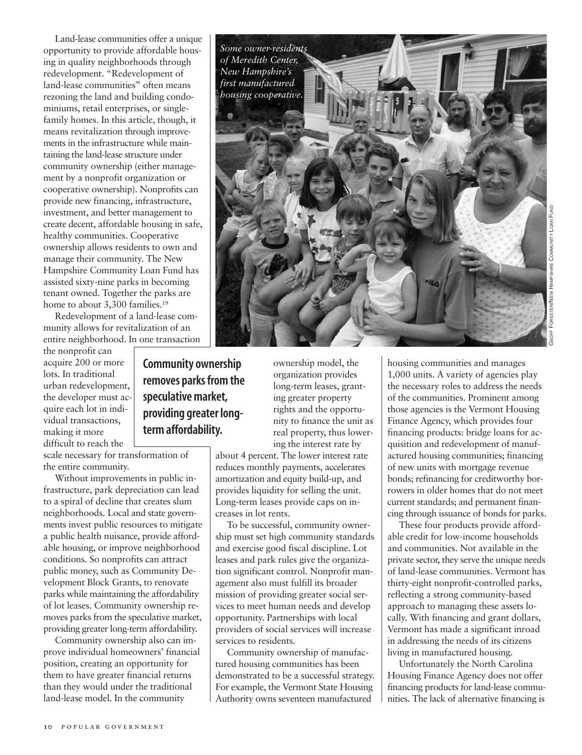Land-lease communities offer a unique opportunity to provide affordable housing in quality neighborhoods through redevelopment. "Redevelopment of land-lease communities" often means rezoning the land and building condominiums, retail enterprises, or singlefamily homes. In this article, though, it means revitalization through improvements in the infrastructure while maintaining the land-lease structure under community ownership (either management by a nonprofit organization or cooperative ownership). Nonprofits can provide new financing, infrastructure, investment, and better management to create decent, affordable housing in safe, healthy communities. Cooperative ownership allows residents to own and manage their community. The New Hampshire Community Loan Fund has assisted sixty-nine parks in becoming tenant owned. Together the parks are home to about 3,300 families.<sup>19</sup>

Redevelopment of a land-lease community allows for revitalization of an entire neighborhood. In one transaction

the nonprofit can acquire 200 or more lots. In traditional urban redevelopment, the developer must acquire each lot in individual transactions, making it more difficult to reach the

scale necessary for transformation of the entire community.

Without improvements in public infrastructure, park depreciation can lead to a spiral of decline that creates slum neighborhoods. Local and state governments invest public resources to mitigate a public health nuisance, provide affordable housing, or improve neighborhood conditions. So nonprofits can attract public money, such as Community Development Block Grants, to renovate parks while maintaining the affordability of lot leases. Community ownership removes parks from the speculative market, providing greater long-term affordability.

Community ownership also can improve individual homeowners' financial position, creating an opportunity for them to have greater financial returns than they would under the traditional land-lease model. In the community

**10** popular government

**Community ownership removes parks from the speculative market, providing greater longterm affordability.**

ownership model, the organization provides long-term leases, granting greater property rights and the opportunity to finance the unit as real property, thus lowering the interest rate by

about 4 percent. The lower interest rate reduces monthly payments, accelerates amortization and equity build-up, and provides liquidity for selling the unit. Long-term leases provide caps on increases in lot rents.

*Some owner-residents of Meredith Center, New Hampshire's first manufactured housing cooperative.* 

To be successful, community ownership must set high community standards and exercise good fiscal discipline. Lot leases and park rules give the organization significant control. Nonprofit management also must fulfill its broader mission of providing greater social services to meet human needs and develop opportunity. Partnerships with local providers of social services will increase services to residents.

Community ownership of manufactured housing communities has been demonstrated to be a successful strategy. For example, the Vermont State Housing Authority owns seventeen manufactured

housing communities and manages 1,000 units. A variety of agencies play the necessary roles to address the needs of the communities. Prominent among those agencies is the Vermont Housing Finance Agency, which provides four financing products: bridge loans for acquisition and redevelopment of manufactured housing communities; financing of new units with mortgage revenue bonds; refinancing for creditworthy borrowers in older homes that do not meet current standards; and permanent financing through issuance of bonds for parks.

These four products provide affordable credit for low-income households and communities. Not available in the private sector, they serve the unique needs of land-lease communities. Vermont has thirty-eight nonprofit-controlled parks, reflecting a strong community-based approach to managing these assets locally. With financing and grant dollars, Vermont has made a significant inroad in addressing the needs of its citizens living in manufactured housing.

Unfortunately the North Carolina Housing Finance Agency does not offer financing products for land-lease communities. The lack of alternative financing is